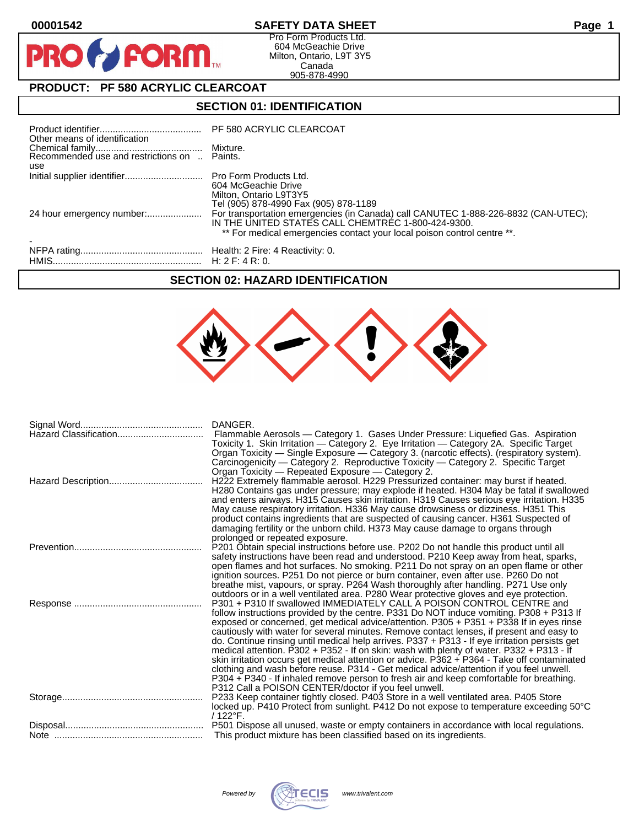$\mathbf O$ 

PR

# **00001542 SAFETY DATA SHEET Page 1**

Pro Form Products Ltd. 604 McGeachie Drive Milton, Ontario, L9T 3Y5 Canada 905-878-4990

# **PRODUCT: PF 580 ACRYLIC CLEARCOAT**

**FORM** 

# **SECTION 01: IDENTIFICATION**

| Other means of identification                       | PF 580 ACRYLIC CLEARCOAT                                                                                                                                                                                            |
|-----------------------------------------------------|---------------------------------------------------------------------------------------------------------------------------------------------------------------------------------------------------------------------|
| Recommended use and restrictions on  Paints.<br>use | Mixture.                                                                                                                                                                                                            |
|                                                     | 604 McGeachie Drive<br>Milton, Ontario L9T3Y5<br>Tel (905) 878-4990 Fax (905) 878-1189                                                                                                                              |
| 24 hour emergency number:                           | For transportation emergencies (in Canada) call CANUTEC 1-888-226-8832 (CAN-UTEC);<br>IN THE UNITED STATES CALL CHEMTREC 1-800-424-9300.<br>** For medical emergencies contact your local poison control centre **. |
|                                                     |                                                                                                                                                                                                                     |

#### **SECTION 02: HAZARD IDENTIFICATION**



| Hazard Classification | DANGER.<br>Flammable Aerosols — Category 1. Gases Under Pressure: Liquefied Gas. Aspiration                                                                                                                                                                                                                                                                                                                                                                                                                                                                                                                                                                                                                                                                                                                                               |
|-----------------------|-------------------------------------------------------------------------------------------------------------------------------------------------------------------------------------------------------------------------------------------------------------------------------------------------------------------------------------------------------------------------------------------------------------------------------------------------------------------------------------------------------------------------------------------------------------------------------------------------------------------------------------------------------------------------------------------------------------------------------------------------------------------------------------------------------------------------------------------|
|                       | Toxicity 1. Skin Irritation - Category 2. Eye Irritation - Category 2A. Specific Target<br>Organ Toxicity — Single Exposure — Category 3. (narcotic effects). (respiratory system).<br>Carcinogenicity — Category 2. Reproductive Toxicity — Category 2. Specific Target<br>Organ Toxicity - Repeated Exposure - Category 2.<br>H222 Extremely flammable aerosol. H229 Pressurized container: may burst if heated.<br>H280 Contains gas under pressure; may explode if heated. H304 May be fatal if swallowed<br>and enters airways. H315 Causes skin irritation. H319 Causes serious eye irritation. H335<br>May cause respiratory irritation. H336 May cause drowsiness or dizziness. H351 This<br>product contains ingredients that are suspected of causing cancer. H361 Suspected of                                                 |
|                       | damaging fertility or the unborn child. H373 May cause damage to organs through<br>prolonged or repeated exposure.                                                                                                                                                                                                                                                                                                                                                                                                                                                                                                                                                                                                                                                                                                                        |
|                       | P201 Obtain special instructions before use. P202 Do not handle this product until all<br>safety instructions have been read and understood. P210 Keep away from heat, sparks,                                                                                                                                                                                                                                                                                                                                                                                                                                                                                                                                                                                                                                                            |
|                       | open flames and hot surfaces. No smoking. P211 Do not spray on an open flame or other<br>ignition sources. P251 Do not pierce or burn container, even after use. P260 Do not<br>breathe mist, vapours, or spray. P264 Wash thoroughly after handling. P271 Use only<br>outdoors or in a well ventilated area. P280 Wear protective gloves and eye protection.                                                                                                                                                                                                                                                                                                                                                                                                                                                                             |
|                       | P301 + P310 If swallowed IMMEDIATELY CALL A POISON CONTROL CENTRE and<br>follow instructions provided by the centre. P331 Do NOT induce vomiting. P308 + P313 If<br>exposed or concerned, get medical advice/attention. P305 + P351 + P338 If in eyes rinse<br>cautiously with water for several minutes. Remove contact lenses, if present and easy to<br>do. Continue rinsing until medical help arrives. P337 + P313 - If eye irritation persists get<br>medical attention. P302 + P352 - If on skin: wash with plenty of water. P332 + P313 - If<br>skin irritation occurs get medical attention or advice. P362 + P364 - Take off contaminated<br>clothing and wash before reuse. P314 - Get medical advice/attention if you feel unwell.<br>P304 + P340 - If inhaled remove person to fresh air and keep comfortable for breathing. |
|                       | P312 Call a POISON CENTER/doctor if you feel unwell.<br>P233 Keep container tightly closed. P403 Store in a well ventilated area. P405 Store<br>locked up. P410 Protect from sunlight. P412 Do not expose to temperature exceeding 50°C<br>$/122^{\circ}$ F.                                                                                                                                                                                                                                                                                                                                                                                                                                                                                                                                                                              |
|                       | This product mixture has been classified based on its ingredients.                                                                                                                                                                                                                                                                                                                                                                                                                                                                                                                                                                                                                                                                                                                                                                        |



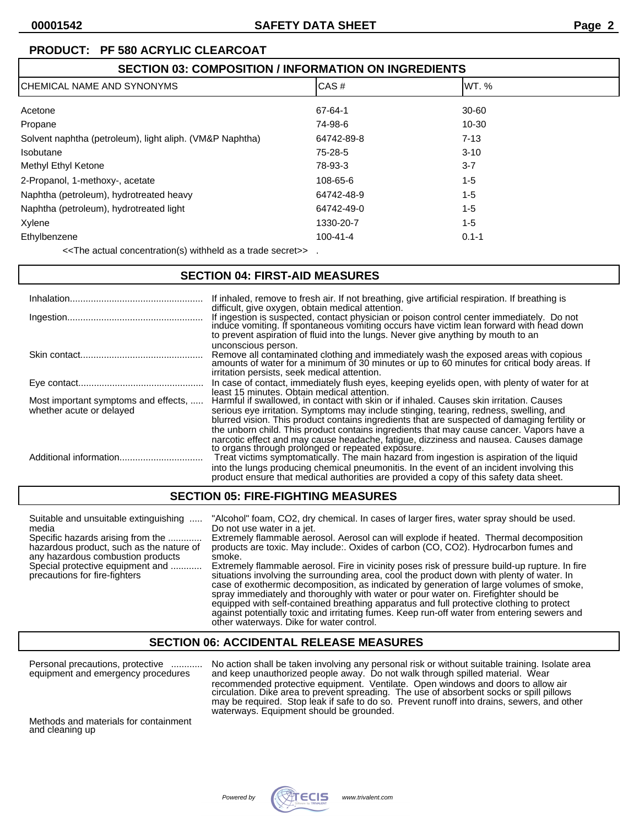# **SECTION 03: COMPOSITION / INFORMATION ON INGREDIENTS** CHEMICAL NAME AND SYNONYMS GAS AND SAND THE SERVICES AND LOCAS # STATE OF THE SERVICES AND THE SERVICES AND THE STATE OF THE SERVICE OF THE SERVICE OF THE SERVICE OF THE SERVICE OF THE SERVICE OF THE SERVICE OF THE SERVICE Acetone 67-64-1 30-60 Propane 10-30 and 10-30 and 10-30 and 10-30 and 10-30 and 10-30 and 10-30 and 10-30 and 10-30 and 10-30 and 10 Solvent naphtha (petroleum), light aliph. (VM&P Naphtha) 64742-89-8 64742-89-8 7-13 Isobutane 75-28-5 3-10 Methyl Ethyl Ketone 3-7 and 300 and 300 and 300 and 300 and 300 and 300 and 300 and 300 and 300 and 300 and 300 and 300 and 300 and 300 and 300 and 300 and 300 and 300 and 300 and 300 and 300 and 300 and 300 and 300 and 30 2-Propanol, 1-methoxy-, acetate 108-65-6 108-65-6 1-5 Naphtha (petroleum), hydrotreated heavy 64742-48-9 1-5 Naphtha (petroleum), hydrotreated light 64742-49-0 1-5 Xylene 1330-20-7 1-5 Ethylbenzene 100-41-4 0.1-1

<<The actual concentration(s) withheld as a trade secret>> .

### **SECTION 04: FIRST-AID MEASURES**

|                                                                  | If inhaled, remove to fresh air. If not breathing, give artificial respiration. If breathing is<br>difficult, give oxygen, obtain medical attention.                                                                                                                                                                                                                                                                                                                                                                      |
|------------------------------------------------------------------|---------------------------------------------------------------------------------------------------------------------------------------------------------------------------------------------------------------------------------------------------------------------------------------------------------------------------------------------------------------------------------------------------------------------------------------------------------------------------------------------------------------------------|
|                                                                  | If ingestion is suspected, contact physician or poison control center immediately. Do not induce vomiting. If spontaneous vomiting occurs have victim lean forward with head down<br>to prevent aspiration of fluid into the lungs. Never give anything by mouth to an                                                                                                                                                                                                                                                    |
|                                                                  | unconscious person.<br>Remove all contaminated clothing and immediately wash the exposed areas with copious amounts of water for a minimum of 30 minutes or up to 60 minutes for critical body areas. If<br>irritation persists, seek medical attention.                                                                                                                                                                                                                                                                  |
|                                                                  | In case of contact, immediately flush eyes, keeping eyelids open, with plenty of water for at                                                                                                                                                                                                                                                                                                                                                                                                                             |
| Most important symptoms and effects,<br>whether acute or delayed | least 15 minutes. Obtain medical attention.<br>Harmful if swallowed, in contact with skin or if inhaled. Causes skin irritation. Causes<br>serious eye irritation. Symptoms may include stinging, tearing, redness, swelling, and<br>blurred vision. This product contains ingredients that are suspected of damaging fertility or                                                                                                                                                                                        |
|                                                                  | the unborn child. This product contains ingredients that may cause cancer. Vapors have a<br>narcotic effect and may cause headache, fatigue, dizziness and nausea. Causes damage<br>to organs through prolonged or repeated exposure.<br>Treat victims symptomatically. The main hazard from ingestion is aspiration of the liquid<br>into the lungs producing chemical pneumonitis. In the event of an incident involving this<br>product ensure that medical authorities are provided a copy of this safety data sheet. |

### **SECTION 05: FIRE-FIGHTING MEASURES**

| Suitable and unsuitable extinguishing<br>media<br>Specific hazards arising from the<br>hazardous product, such as the nature of<br>any hazardous combustion products<br>Special protective equipment and<br>precautions for fire-fighters | "Alcohol" foam, CO2, dry chemical. In cases of larger fires, water spray should be used.<br>Do not use water in a jet.<br>Extremely flammable aerosol. Aerosol can will explode if heated. Thermal decomposition<br>products are toxic. May include: Oxides of carbon (CO, CO2). Hydrocarbon fumes and<br>smoke.<br>Extremely flammable aerosol. Fire in vicinity poses risk of pressure build-up rupture. In fire<br>situations involving the surrounding area, cool the product down with plenty of water. In<br>case of exothermic decomposition, as indicated by generation of large volumes of smoke, |
|-------------------------------------------------------------------------------------------------------------------------------------------------------------------------------------------------------------------------------------------|------------------------------------------------------------------------------------------------------------------------------------------------------------------------------------------------------------------------------------------------------------------------------------------------------------------------------------------------------------------------------------------------------------------------------------------------------------------------------------------------------------------------------------------------------------------------------------------------------------|
|                                                                                                                                                                                                                                           | spray immediately and thoroughly with water or pour water on. Firefighter should be<br>equipped with self-contained breathing apparatus and full protective clothing to protect<br>against potentially toxic and irritating fumes. Keep run-off water from entering sewers and                                                                                                                                                                                                                                                                                                                             |

#### **SECTION 06: ACCIDENTAL RELEASE MEASURES**

other waterways. Dike for water control.

Personal precautions, protective ............ No action shall be taken involving any personal risk or without suitable training. Isolate area equipment and emergency procedures and keep unauthorized people away. Do not walk through spilled material. Wear recommended protective equipment. Ventilate. Open windows and doors to allow air circulation. Dike area to prevent spreading. The use of absorbent socks or spill pillows may be required. Stop leak if safe to do so. Prevent runoff into drains, sewers, and other waterways. Equipment should be grounded.

Methods and materials for containment and cleaning up

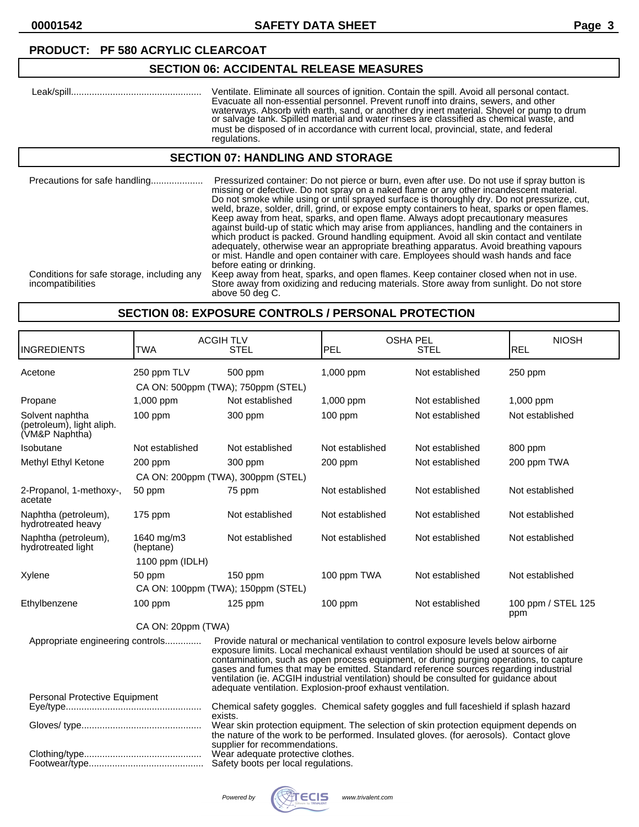# **SECTION 06: ACCIDENTAL RELEASE MEASURES**

| Leak/spill | Ventilate. Eliminate all sources of ignition. Contain the spill. Avoid all personal contact.<br>Evacuate all non-essential personnel. Prevent runoff into drains, sewers, and other<br>waterways. Absorb with earth, sand, or another dry inert material. Shovel or pump to drum<br>or salvage tank. Spilled material and water rinses are classified as chemical waste, and<br>must be disposed of in accordance with current local, provincial, state, and federal |
|------------|----------------------------------------------------------------------------------------------------------------------------------------------------------------------------------------------------------------------------------------------------------------------------------------------------------------------------------------------------------------------------------------------------------------------------------------------------------------------|
|            | regulations.                                                                                                                                                                                                                                                                                                                                                                                                                                                         |

#### **SECTION 07: HANDLING AND STORAGE**

| Precautions for safe handling                                   | Pressurized container: Do not pierce or burn, even after use. Do not use if spray button is<br>missing or defective. Do not spray on a naked flame or any other incandescent material.<br>Do not smoke while using or until sprayed surface is thoroughly dry. Do not pressurize, cut,<br>weld, braze, solder, drill, grind, or expose empty containers to heat, sparks or open flames.<br>Keep away from heat, sparks, and open flame. Always adopt precautionary measures<br>against build-up of static which may arise from appliances, handling and the containers in<br>which product is packed. Ground handling equipment. Avoid all skin contact and ventilate<br>adequately, otherwise wear an appropriate breathing apparatus. Avoid breathing vapours<br>or mist. Handle and open container with care. Employees should wash hands and face<br>before eating or drinking. |
|-----------------------------------------------------------------|-------------------------------------------------------------------------------------------------------------------------------------------------------------------------------------------------------------------------------------------------------------------------------------------------------------------------------------------------------------------------------------------------------------------------------------------------------------------------------------------------------------------------------------------------------------------------------------------------------------------------------------------------------------------------------------------------------------------------------------------------------------------------------------------------------------------------------------------------------------------------------------|
| Conditions for safe storage, including any<br>incompatibilities | Keep away from heat, sparks, and open flames. Keep container closed when not in use.<br>Store away from oxidizing and reducing materials. Store away from sunlight. Do not store<br>above 50 deg C.                                                                                                                                                                                                                                                                                                                                                                                                                                                                                                                                                                                                                                                                                 |

#### **SECTION 08: EXPOSURE CONTROLS / PERSONAL PROTECTION**

| <b>INGREDIENTS</b>                                                                                                                                                                                                                                                                                                                                                                                                                                                                                                                                          | <b>TWA</b>              | <b>ACGIH TLV</b><br><b>STEL</b>                                                                                                                                                  | <b>PEL</b>      | <b>OSHA PEL</b><br><b>STEL</b> | <b>NIOSH</b><br><b>REL</b> |
|-------------------------------------------------------------------------------------------------------------------------------------------------------------------------------------------------------------------------------------------------------------------------------------------------------------------------------------------------------------------------------------------------------------------------------------------------------------------------------------------------------------------------------------------------------------|-------------------------|----------------------------------------------------------------------------------------------------------------------------------------------------------------------------------|-----------------|--------------------------------|----------------------------|
| Acetone                                                                                                                                                                                                                                                                                                                                                                                                                                                                                                                                                     | 250 ppm TLV             | 500 ppm<br>CA ON: 500ppm (TWA); 750ppm (STEL)                                                                                                                                    | 1,000 ppm       | Not established                | 250 ppm                    |
| Propane                                                                                                                                                                                                                                                                                                                                                                                                                                                                                                                                                     | 1,000 ppm               | Not established                                                                                                                                                                  | 1,000 ppm       | Not established                | 1,000 ppm                  |
| Solvent naphtha<br>(petroleum), light aliph.<br>(VM&P Naphtha)                                                                                                                                                                                                                                                                                                                                                                                                                                                                                              | 100 ppm                 | 300 ppm                                                                                                                                                                          | $100$ ppm       | Not established                | Not established            |
| Isobutane                                                                                                                                                                                                                                                                                                                                                                                                                                                                                                                                                   | Not established         | Not established                                                                                                                                                                  | Not established | Not established                | 800 ppm                    |
| Methyl Ethyl Ketone                                                                                                                                                                                                                                                                                                                                                                                                                                                                                                                                         | 200 ppm                 | 300 ppm                                                                                                                                                                          | 200 ppm         | Not established                | 200 ppm TWA                |
|                                                                                                                                                                                                                                                                                                                                                                                                                                                                                                                                                             |                         | CA ON: 200ppm (TWA), 300ppm (STEL)                                                                                                                                               |                 |                                |                            |
| 2-Propanol, 1-methoxy-,<br>acetate                                                                                                                                                                                                                                                                                                                                                                                                                                                                                                                          | 50 ppm                  | 75 ppm                                                                                                                                                                           | Not established | Not established                | Not established            |
| Naphtha (petroleum),<br>hydrotreated heavy                                                                                                                                                                                                                                                                                                                                                                                                                                                                                                                  | 175 ppm                 | Not established                                                                                                                                                                  | Not established | Not established                | Not established            |
| Naphtha (petroleum),<br>hydrotreated light                                                                                                                                                                                                                                                                                                                                                                                                                                                                                                                  | 1640 mg/m3<br>(heptane) | Not established                                                                                                                                                                  | Not established | Not established                | Not established            |
|                                                                                                                                                                                                                                                                                                                                                                                                                                                                                                                                                             | 1100 ppm (IDLH)         |                                                                                                                                                                                  |                 |                                |                            |
| Xylene                                                                                                                                                                                                                                                                                                                                                                                                                                                                                                                                                      | 50 ppm                  | $150$ ppm                                                                                                                                                                        | 100 ppm TWA     | Not established                | Not established            |
|                                                                                                                                                                                                                                                                                                                                                                                                                                                                                                                                                             |                         | CA ON: 100ppm (TWA); 150ppm (STEL)                                                                                                                                               |                 |                                |                            |
| Ethylbenzene                                                                                                                                                                                                                                                                                                                                                                                                                                                                                                                                                | 100 ppm                 | 125 ppm                                                                                                                                                                          | 100 ppm         | Not established                | 100 ppm / STEL 125<br>ppm  |
|                                                                                                                                                                                                                                                                                                                                                                                                                                                                                                                                                             | CA ON: 20ppm (TWA)      |                                                                                                                                                                                  |                 |                                |                            |
| Provide natural or mechanical ventilation to control exposure levels below airborne<br>Appropriate engineering controls<br>exposure limits. Local mechanical exhaust ventilation should be used at sources of air<br>contamination, such as open process equipment, or during purging operations, to capture<br>gases and fumes that may be emitted. Standard reference sources regarding industrial<br>ventilation (ie. ACGIH industrial ventilation) should be consulted for guidance about<br>adequate ventilation. Explosion-proof exhaust ventilation. |                         |                                                                                                                                                                                  |                 |                                |                            |
| Personal Protective Equipment                                                                                                                                                                                                                                                                                                                                                                                                                                                                                                                               |                         |                                                                                                                                                                                  |                 |                                |                            |
|                                                                                                                                                                                                                                                                                                                                                                                                                                                                                                                                                             |                         | Chemical safety goggles. Chemical safety goggles and full faceshield if splash hazard<br>exists.                                                                                 |                 |                                |                            |
|                                                                                                                                                                                                                                                                                                                                                                                                                                                                                                                                                             |                         | Wear skin protection equipment. The selection of skin protection equipment depends on<br>the nature of the work to be performed. Insulated gloves. (for aerosols). Contact glove |                 |                                |                            |
|                                                                                                                                                                                                                                                                                                                                                                                                                                                                                                                                                             |                         | supplier for recommendations.<br>Wear adequate protective clothes.<br>Safety boots per local regulations.                                                                        |                 |                                |                            |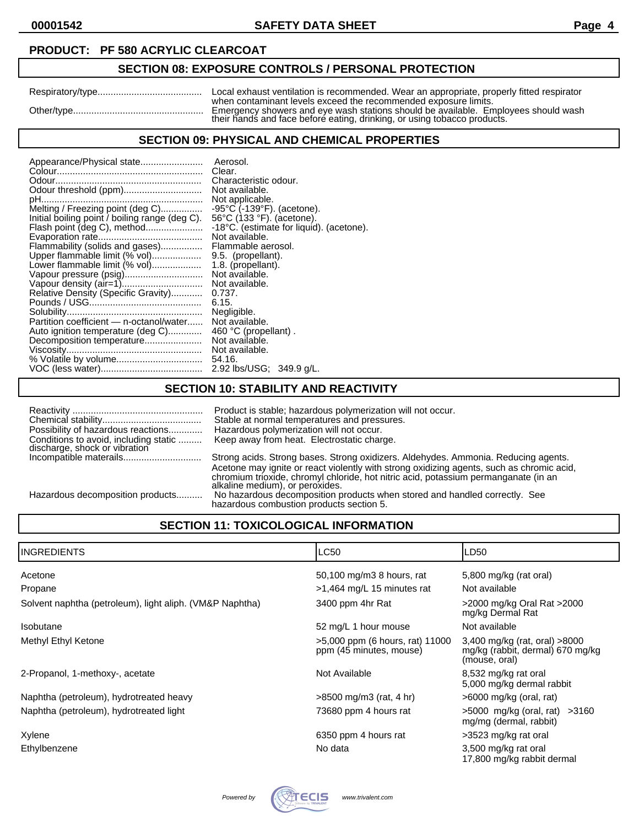# **SECTION 08: EXPOSURE CONTROLS / PERSONAL PROTECTION**

| Local exhaust ventilation is recommended. Wear an appropriate, properly fitted respirator                                                                                                                                         |
|-----------------------------------------------------------------------------------------------------------------------------------------------------------------------------------------------------------------------------------|
| when contaminant levels exceed the recommended exposure limits.<br>Emergency showers and eye wash stations should be available. Employees should wash<br>their hands and face before eating, drinking, or using tobacco products. |

#### **SECTION 09: PHYSICAL AND CHEMICAL PROPERTIES**

| Appearance/Physical state                      | Aerosol.                                        |
|------------------------------------------------|-------------------------------------------------|
|                                                | Clear.                                          |
|                                                | Characteristic odour.                           |
| Odour threshold (ppm)                          | Not available.                                  |
|                                                | Not applicable.                                 |
| Melting / Freezing point (deg C)               | $-95^{\circ}$ C ( $-139^{\circ}$ F). (acetone). |
| Initial boiling point / boiling range (deg C). | 56°C (133 °F). (acetone).                       |
|                                                | -18°C. (estimate for liquid). (acetone).        |
|                                                | Not available.                                  |
| Flammability (solids and gases)                | Flammable aerosol.                              |
| Upper flammable limit (% vol)                  | 9.5. (propellant).                              |
| Lower flammable limit (% vol)                  | 1.8. (propellant).                              |
| Vapour pressure (psig)                         | Not available.                                  |
|                                                | Not available.                                  |
| Relative Density (Specific Gravity)            | 0.737.                                          |
|                                                | 6.15.                                           |
|                                                | Negligible.                                     |
| Partition coefficient - n-octanol/water        | Not available.                                  |
| Auto ignition temperature (deg C)              | 460 °C (propellant).                            |
| Decomposition temperature                      | Not available.                                  |
|                                                | Not available.                                  |
|                                                | 54.16.                                          |
|                                                | 2.92 lbs/USG; 349.9 g/L.                        |
|                                                |                                                 |

### **SECTION 10: STABILITY AND REACTIVITY**

| Possibility of hazardous reactions<br>Conditions to avoid, including static | Product is stable; hazardous polymerization will not occur.<br>Stable at normal temperatures and pressures.<br>Hazardous polymerization will not occur.<br>Keep away from heat. Electrostatic charge. |
|-----------------------------------------------------------------------------|-------------------------------------------------------------------------------------------------------------------------------------------------------------------------------------------------------|
| discharge, shock or vibration                                               |                                                                                                                                                                                                       |
|                                                                             | Strong acids. Strong bases. Strong oxidizers. Aldehydes. Ammonia. Reducing agents.                                                                                                                    |
|                                                                             | Acetone may ignite or react violently with strong oxidizing agents, such as chromic acid,                                                                                                             |
|                                                                             | chromium trioxide, chromyl chloride, hot nitric acid, potassium permanganate (in an                                                                                                                   |
|                                                                             | alkaline medium), or peroxides.                                                                                                                                                                       |
| Hazardous decomposition products                                            | No hazardous decomposition products when stored and handled correctly. See                                                                                                                            |
|                                                                             | hazardous combustion products section 5.                                                                                                                                                              |

# **SECTION 11: TOXICOLOGICAL INFORMATION**

| IINGREDIENTS                                             | LC50                                                       | LD <sub>50</sub>                                                                   |
|----------------------------------------------------------|------------------------------------------------------------|------------------------------------------------------------------------------------|
| Acetone                                                  | 50,100 mg/m3 8 hours, rat                                  | 5,800 mg/kg (rat oral)                                                             |
| Propane                                                  | >1,464 mg/L 15 minutes rat                                 | Not available                                                                      |
| Solvent naphtha (petroleum), light aliph. (VM&P Naphtha) | 3400 ppm 4hr Rat                                           | >2000 mg/kg Oral Rat >2000<br>mg/kg Dermal Rat                                     |
| <b>Isobutane</b>                                         | 52 mg/L 1 hour mouse                                       | Not available                                                                      |
| Methyl Ethyl Ketone                                      | >5,000 ppm (6 hours, rat) 11000<br>ppm (45 minutes, mouse) | 3,400 mg/kg (rat, oral) >8000<br>mg/kg (rabbit, dermal) 670 mg/kg<br>(mouse, oral) |
| 2-Propanol, 1-methoxy-, acetate                          | Not Available                                              | 8,532 mg/kg rat oral<br>5,000 mg/kg dermal rabbit                                  |
| Naphtha (petroleum), hydrotreated heavy                  | $>8500$ mg/m3 (rat, 4 hr)                                  | $>6000$ mg/kg (oral, rat)                                                          |
| Naphtha (petroleum), hydrotreated light                  | 73680 ppm 4 hours rat                                      | $>5000$ mg/kg (oral, rat) $>3160$<br>mg/mg (dermal, rabbit)                        |
| Xylene                                                   | 6350 ppm 4 hours rat                                       | >3523 mg/kg rat oral                                                               |
| Ethylbenzene                                             | No data                                                    | 3,500 mg/kg rat oral<br>17,800 mg/kg rabbit dermal                                 |

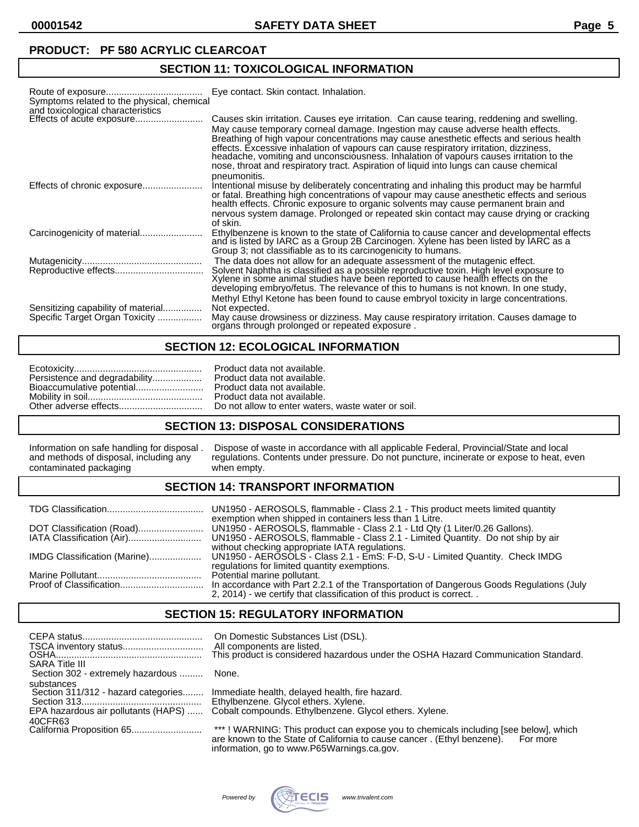**00001542 SAFETY DATA SHEET Page 5**

### **PRODUCT: PF 580 ACRYLIC CLEARCOAT**

# **SECTION 11: TOXICOLOGICAL INFORMATION**

| Symptoms related to the physical, chemical                           | Eye contact. Skin contact. Inhalation.                                                                                                                                                                                                                                                                                                                                                                                                                                                                                                                               |
|----------------------------------------------------------------------|----------------------------------------------------------------------------------------------------------------------------------------------------------------------------------------------------------------------------------------------------------------------------------------------------------------------------------------------------------------------------------------------------------------------------------------------------------------------------------------------------------------------------------------------------------------------|
| and toxicological characteristics<br>Effects of acute exposure       | Causes skin irritation. Causes eye irritation. Can cause tearing, reddening and swelling.<br>May cause temporary corneal damage. Ingestion may cause adverse health effects.<br>Breathing of high vapour concentrations may cause anesthetic effects and serious health<br>effects. Excessive inhalation of vapours can cause respiratory irritation, dizziness,<br>headache, vomiting and unconsciousness. Inhalation of vapours causes irritation to the<br>nose, throat and respiratory tract. Aspiration of liquid into lungs can cause chemical<br>pneumonitis. |
|                                                                      | Intentional misuse by deliberately concentrating and inhaling this product may be harmful<br>or fatal. Breathing high concentrations of vapour may cause anesthetic effects and serious<br>health effects. Chronic exposure to organic solvents may cause permanent brain and                                                                                                                                                                                                                                                                                        |
|                                                                      | nervous system damage. Prolonged or repeated skin contact may cause drying or cracking<br>of skin.                                                                                                                                                                                                                                                                                                                                                                                                                                                                   |
|                                                                      | Ethylbenzene is known to the state of California to cause cancer and developmental effects<br>and is listed by IARC as a Group 2B Carcinogen. Xylene has been listed by IARC as a<br>Group 3; not classifiable as to its carcinogenicity to humans.                                                                                                                                                                                                                                                                                                                  |
|                                                                      | The data does not allow for an adequate assessment of the mutagenic effect.<br>Solvent Naphtha is classified as a possible reproductive toxin. High level exposure to Xylene in some animal studies have been reported to cause health effects on the<br>developing embryo/fetus. The relevance of this to humans is not known. In one study,                                                                                                                                                                                                                        |
| Sensitizing capability of material<br>Specific Target Organ Toxicity | Methyl Ethyl Ketone has been found to cause embryol toxicity in large concentrations.<br>Not expected.<br>May cause drowsiness or dizziness. May cause respiratory irritation. Causes damage to<br>organs through prolonged or repeated exposure.                                                                                                                                                                                                                                                                                                                    |

# **SECTION 12: ECOLOGICAL INFORMATION**

| Persistence and degradability Product data not available. |  |
|-----------------------------------------------------------|--|
|-----------------------------------------------------------|--|

#### **SECTION 13: DISPOSAL CONSIDERATIONS**

# **SECTION 14: TRANSPORT INFORMATION**

| exemption when shipped in containers less than 1 Litre.                                                                                                                                         |
|-------------------------------------------------------------------------------------------------------------------------------------------------------------------------------------------------|
| without checking appropriate IATA regulations.<br>regulations for limited quantity exemptions.                                                                                                  |
| Potential marine pollutant.<br>In accordance with Part 2.2.1 of the Transportation of Dangerous Goods Regulations (July<br>2, 2014) - we certify that classification of this product is correct |

### **SECTION 15: REGULATORY INFORMATION**

| <b>SARA Title III</b>                                                                    | On Domestic Substances List (DSL).<br>All components are listed.<br>This product is considered hazardous under the OSHA Hazard Communication Standard.                                                                  |
|------------------------------------------------------------------------------------------|-------------------------------------------------------------------------------------------------------------------------------------------------------------------------------------------------------------------------|
| Section 302 - extremely hazardous                                                        | None.                                                                                                                                                                                                                   |
| substances<br>Section 311/312 - hazard categories<br>EPA hazardous air pollutants (HAPS) | Immediate health, delayed health, fire hazard.<br>Ethylbenzene. Glycol ethers. Xylene.<br>Cobalt compounds. Ethylbenzene. Glycol ethers. Xylene.                                                                        |
| 40CFR63                                                                                  | ***! WARNING: This product can expose you to chemicals including [see below], which<br>are known to the State of California to cause cancer. (Ethyl benzene).<br>For more<br>information, go to www.P65Warnings.ca.gov. |